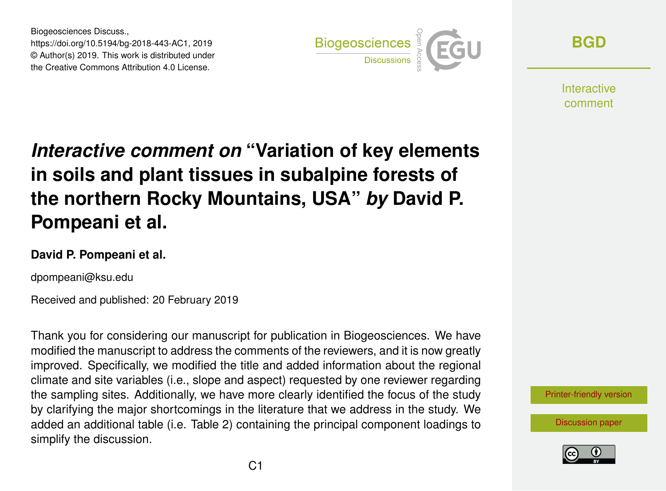Biogeosciences Discuss., https://doi.org/10.5194/bg-2018-443-AC1, 2019 © Author(s) 2019. This work is distributed under the Creative Commons Attribution 4.0 License.



**[BGD](https://www.biogeosciences-discuss.net/)**

**Interactive** comment

## *Interactive comment on* **"Variation of key elements in soils and plant tissues in subalpine forests of the northern Rocky Mountains, USA"** *by* **David P. Pompeani et al.**

## **David P. Pompeani et al.**

dpompeani@ksu.edu

Received and published: 20 February 2019

Thank you for considering our manuscript for publication in Biogeosciences. We have modified the manuscript to address the comments of the reviewers, and it is now greatly improved. Specifically, we modified the title and added information about the regional climate and site variables (i.e., slope and aspect) requested by one reviewer regarding the sampling sites. Additionally, we have more clearly identified the focus of the study by clarifying the major shortcomings in the literature that we address in the study. We added an additional table (i.e. Table 2) containing the principal component loadings to simplify the discussion.

[Printer-friendly version](https://www.biogeosciences-discuss.net/bg-2018-443/bg-2018-443-AC1-print.pdf)

[Discussion paper](https://www.biogeosciences-discuss.net/bg-2018-443)